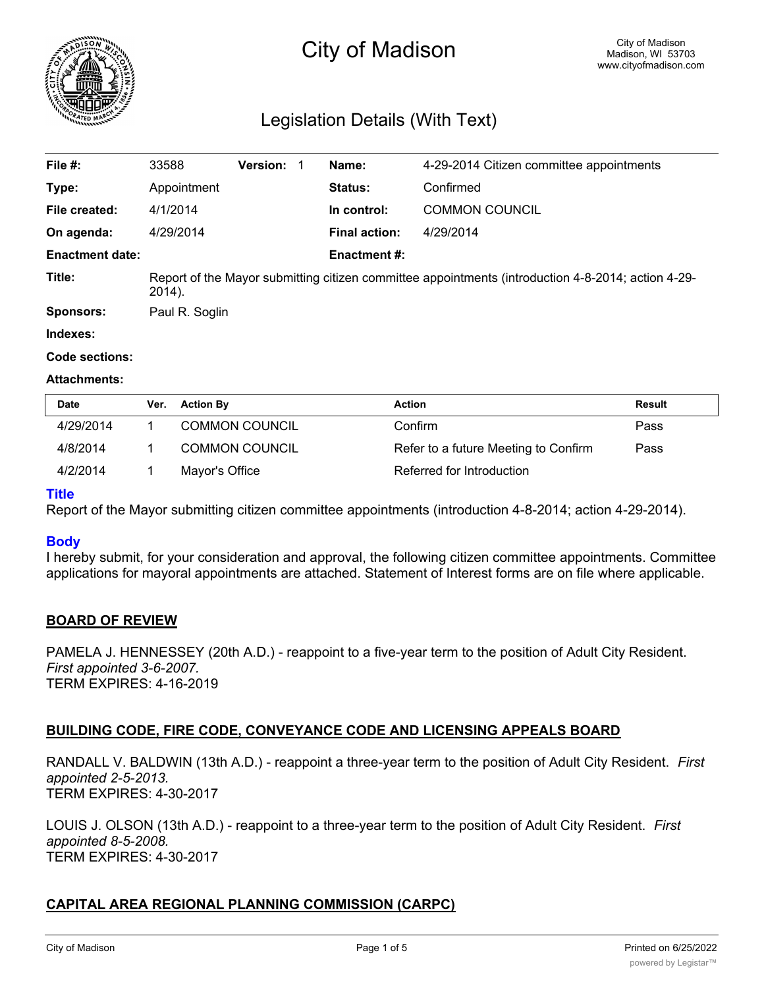

# City of Madison

# Legislation Details (With Text)

| File #:                | 33588                                                                                                        | <b>Version: 1</b> |             | Name:                 | 4-29-2014 Citizen committee appointments |  |
|------------------------|--------------------------------------------------------------------------------------------------------------|-------------------|-------------|-----------------------|------------------------------------------|--|
| Type:                  | Appointment                                                                                                  |                   |             | <b>Status:</b>        | Confirmed                                |  |
| File created:          | 4/1/2014                                                                                                     |                   | In control: | <b>COMMON COUNCIL</b> |                                          |  |
| On agenda:             | 4/29/2014                                                                                                    |                   |             | <b>Final action:</b>  | 4/29/2014                                |  |
| <b>Enactment date:</b> |                                                                                                              |                   |             | <b>Enactment #:</b>   |                                          |  |
| Title:                 | Report of the Mayor submitting citizen committee appointments (introduction 4-8-2014; action 4-29-<br>2014). |                   |             |                       |                                          |  |
| <b>Sponsors:</b>       | Paul R. Soglin                                                                                               |                   |             |                       |                                          |  |
| Indexes:               |                                                                                                              |                   |             |                       |                                          |  |

# **Code sections:**

#### **Attachments:**

| Date      | Ver. | <b>Action By</b>      | Action                               | Result |
|-----------|------|-----------------------|--------------------------------------|--------|
| 4/29/2014 |      | <b>COMMON COUNCIL</b> | Confirm                              | Pass   |
| 4/8/2014  |      | <b>COMMON COUNCIL</b> | Refer to a future Meeting to Confirm | Pass   |
| 4/2/2014  |      | Mayor's Office        | Referred for Introduction            |        |

#### **Title**

Report of the Mayor submitting citizen committee appointments (introduction 4-8-2014; action 4-29-2014).

# **Body**

I hereby submit, for your consideration and approval, the following citizen committee appointments. Committee applications for mayoral appointments are attached. Statement of Interest forms are on file where applicable.

# **BOARD OF REVIEW**

PAMELA J. HENNESSEY (20th A.D.) - reappoint to a five-year term to the position of Adult City Resident. *First appointed 3-6-2007.* TERM EXPIRES: 4-16-2019

# **BUILDING CODE, FIRE CODE, CONVEYANCE CODE AND LICENSING APPEALS BOARD**

RANDALL V. BALDWIN (13th A.D.) - reappoint a three-year term to the position of Adult City Resident. *First appointed 2-5-2013.* TERM EXPIRES: 4-30-2017

LOUIS J. OLSON (13th A.D.) - reappoint to a three-year term to the position of Adult City Resident. *First appointed 8-5-2008.* TERM EXPIRES: 4-30-2017

# **CAPITAL AREA REGIONAL PLANNING COMMISSION (CARPC)**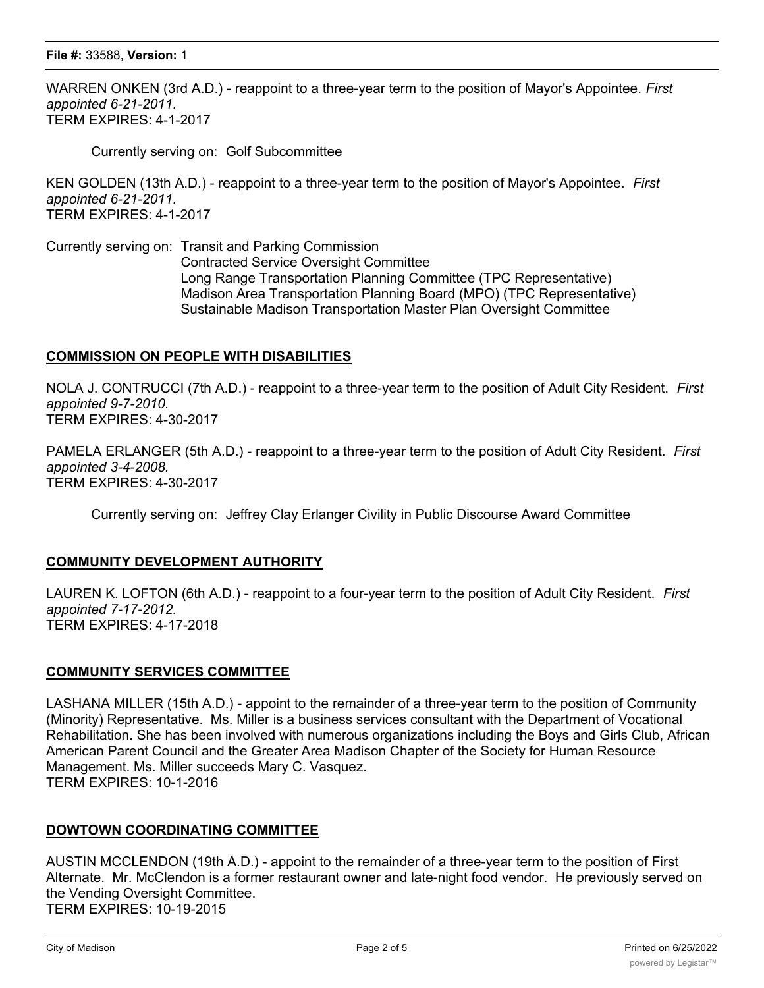#### **File #:** 33588, **Version:** 1

WARREN ONKEN (3rd A.D.) - reappoint to a three-year term to the position of Mayor's Appointee. *First appointed 6-21-2011.* TERM EXPIRES: 4-1-2017

Currently serving on: Golf Subcommittee

KEN GOLDEN (13th A.D.) - reappoint to a three-year term to the position of Mayor's Appointee. *First appointed 6-21-2011.* TERM EXPIRES: 4-1-2017

Currently serving on: Transit and Parking Commission Contracted Service Oversight Committee Long Range Transportation Planning Committee (TPC Representative) Madison Area Transportation Planning Board (MPO) (TPC Representative) Sustainable Madison Transportation Master Plan Oversight Committee

# **COMMISSION ON PEOPLE WITH DISABILITIES**

NOLA J. CONTRUCCI (7th A.D.) - reappoint to a three-year term to the position of Adult City Resident. *First appointed 9-7-2010.* TERM EXPIRES: 4-30-2017

PAMELA ERLANGER (5th A.D.) - reappoint to a three-year term to the position of Adult City Resident. *First appointed 3-4-2008.* TERM EXPIRES: 4-30-2017

Currently serving on: Jeffrey Clay Erlanger Civility in Public Discourse Award Committee

# **COMMUNITY DEVELOPMENT AUTHORITY**

LAUREN K. LOFTON (6th A.D.) - reappoint to a four-year term to the position of Adult City Resident. *First appointed 7-17-2012.* TERM EXPIRES: 4-17-2018

#### **COMMUNITY SERVICES COMMITTEE**

LASHANA MILLER (15th A.D.) - appoint to the remainder of a three-year term to the position of Community (Minority) Representative. Ms. Miller is a business services consultant with the Department of Vocational Rehabilitation. She has been involved with numerous organizations including the Boys and Girls Club, African American Parent Council and the Greater Area Madison Chapter of the Society for Human Resource Management. Ms. Miller succeeds Mary C. Vasquez. TERM EXPIRES: 10-1-2016

#### **DOWTOWN COORDINATING COMMITTEE**

AUSTIN MCCLENDON (19th A.D.) - appoint to the remainder of a three-year term to the position of First Alternate. Mr. McClendon is a former restaurant owner and late-night food vendor. He previously served on the Vending Oversight Committee. TERM EXPIRES: 10-19-2015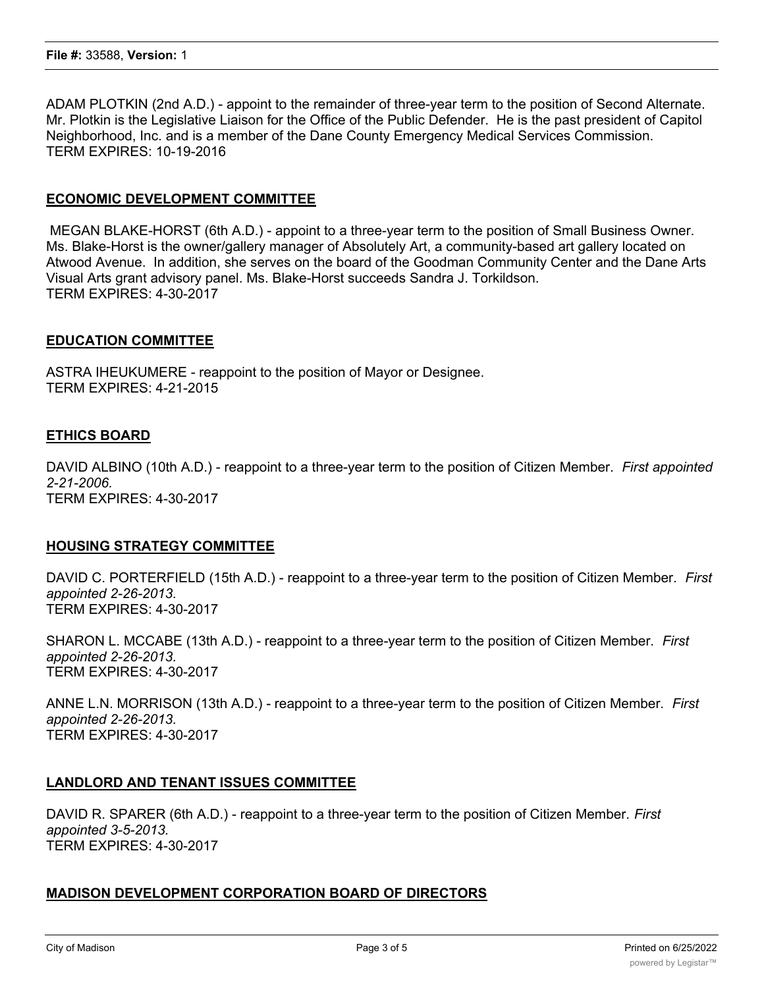ADAM PLOTKIN (2nd A.D.) - appoint to the remainder of three-year term to the position of Second Alternate. Mr. Plotkin is the Legislative Liaison for the Office of the Public Defender. He is the past president of Capitol Neighborhood, Inc. and is a member of the Dane County Emergency Medical Services Commission. TERM EXPIRES: 10-19-2016

# **ECONOMIC DEVELOPMENT COMMITTEE**

 MEGAN BLAKE-HORST (6th A.D.) - appoint to a three-year term to the position of Small Business Owner. Ms. Blake-Horst is the owner/gallery manager of Absolutely Art, a community-based art gallery located on Atwood Avenue. In addition, she serves on the board of the Goodman Community Center and the Dane Arts Visual Arts grant advisory panel. Ms. Blake-Horst succeeds Sandra J. Torkildson. TERM EXPIRES: 4-30-2017

#### **EDUCATION COMMITTEE**

ASTRA IHEUKUMERE - reappoint to the position of Mayor or Designee. TERM EXPIRES: 4-21-2015

#### **ETHICS BOARD**

DAVID ALBINO (10th A.D.) - reappoint to a three-year term to the position of Citizen Member. *First appointed 2-21-2006.* TERM EXPIRES: 4-30-2017

#### **HOUSING STRATEGY COMMITTEE**

DAVID C. PORTERFIELD (15th A.D.) - reappoint to a three-year term to the position of Citizen Member. *First appointed 2-26-2013.* TERM EXPIRES: 4-30-2017

SHARON L. MCCABE (13th A.D.) - reappoint to a three-year term to the position of Citizen Member. *First appointed 2-26-2013.* TERM EXPIRES: 4-30-2017

ANNE L.N. MORRISON (13th A.D.) - reappoint to a three-year term to the position of Citizen Member. *First appointed 2-26-2013.* TERM EXPIRES: 4-30-2017

#### **LANDLORD AND TENANT ISSUES COMMITTEE**

DAVID R. SPARER (6th A.D.) - reappoint to a three-year term to the position of Citizen Member. *First appointed 3-5-2013.* TERM EXPIRES: 4-30-2017

# **MADISON DEVELOPMENT CORPORATION BOARD OF DIRECTORS**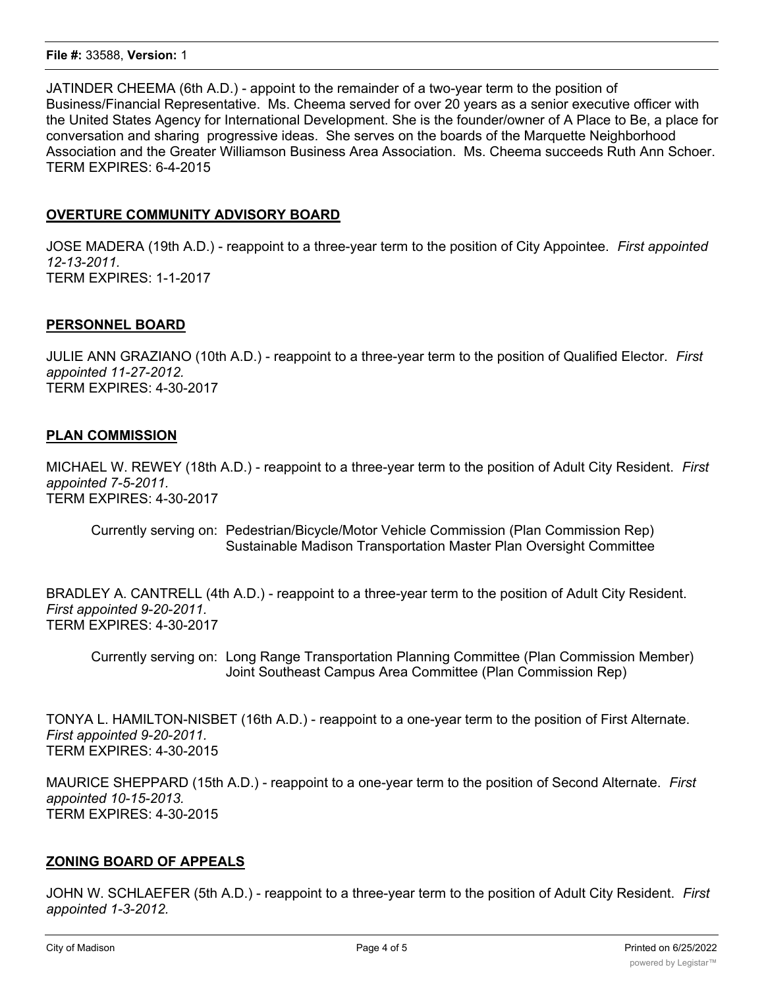#### **File #:** 33588, **Version:** 1

JATINDER CHEEMA (6th A.D.) - appoint to the remainder of a two-year term to the position of Business/Financial Representative. Ms. Cheema served for over 20 years as a senior executive officer with the United States Agency for International Development. She is the founder/owner of A Place to Be, a place for conversation and sharing progressive ideas. She serves on the boards of the Marquette Neighborhood Association and the Greater Williamson Business Area Association. Ms. Cheema succeeds Ruth Ann Schoer. TERM EXPIRES: 6-4-2015

# **OVERTURE COMMUNITY ADVISORY BOARD**

JOSE MADERA (19th A.D.) - reappoint to a three-year term to the position of City Appointee. *First appointed 12-13-2011.* TERM EXPIRES: 1-1-2017

# **PERSONNEL BOARD**

JULIE ANN GRAZIANO (10th A.D.) - reappoint to a three-year term to the position of Qualified Elector. *First appointed 11-27-2012.* TERM EXPIRES: 4-30-2017

# **PLAN COMMISSION**

MICHAEL W. REWEY (18th A.D.) - reappoint to a three-year term to the position of Adult City Resident. *First appointed 7-5-2011.* TERM EXPIRES: 4-30-2017

Currently serving on: Pedestrian/Bicycle/Motor Vehicle Commission (Plan Commission Rep) Sustainable Madison Transportation Master Plan Oversight Committee

BRADLEY A. CANTRELL (4th A.D.) - reappoint to a three-year term to the position of Adult City Resident. *First appointed 9-20-2011.* TERM EXPIRES: 4-30-2017

Currently serving on: Long Range Transportation Planning Committee (Plan Commission Member) Joint Southeast Campus Area Committee (Plan Commission Rep)

TONYA L. HAMILTON-NISBET (16th A.D.) - reappoint to a one-year term to the position of First Alternate. *First appointed 9-20-2011.* TERM EXPIRES: 4-30-2015

MAURICE SHEPPARD (15th A.D.) - reappoint to a one-year term to the position of Second Alternate. *First appointed 10-15-2013.* TERM EXPIRES: 4-30-2015

# **ZONING BOARD OF APPEALS**

JOHN W. SCHLAEFER (5th A.D.) - reappoint to a three-year term to the position of Adult City Resident. *First appointed 1-3-2012.*